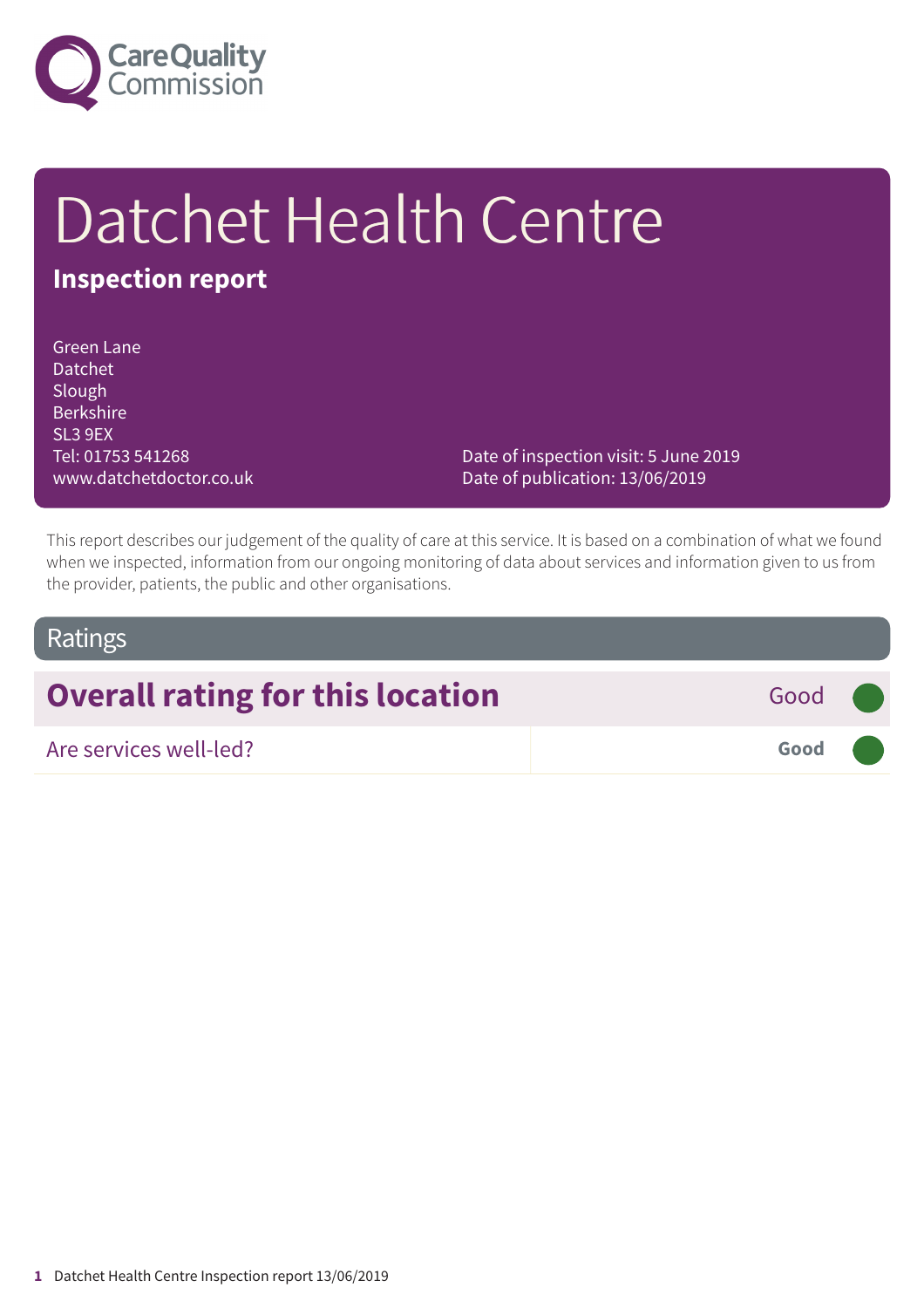

# Datchet Health Centre

## **Inspection report**

Green Lane Datchet Slough Berkshire SL3 9EX Tel: 01753 541268 www.datchetdoctor.co.uk

Date of inspection visit: 5 June 2019 Date of publication: 13/06/2019

This report describes our judgement of the quality of care at this service. It is based on a combination of what we found when we inspected, information from our ongoing monitoring of data about services and information given to us from the provider, patients, the public and other organisations.

### Ratings

# **Overall rating for this location** Good **Good**

Are services well-led? **Good –––**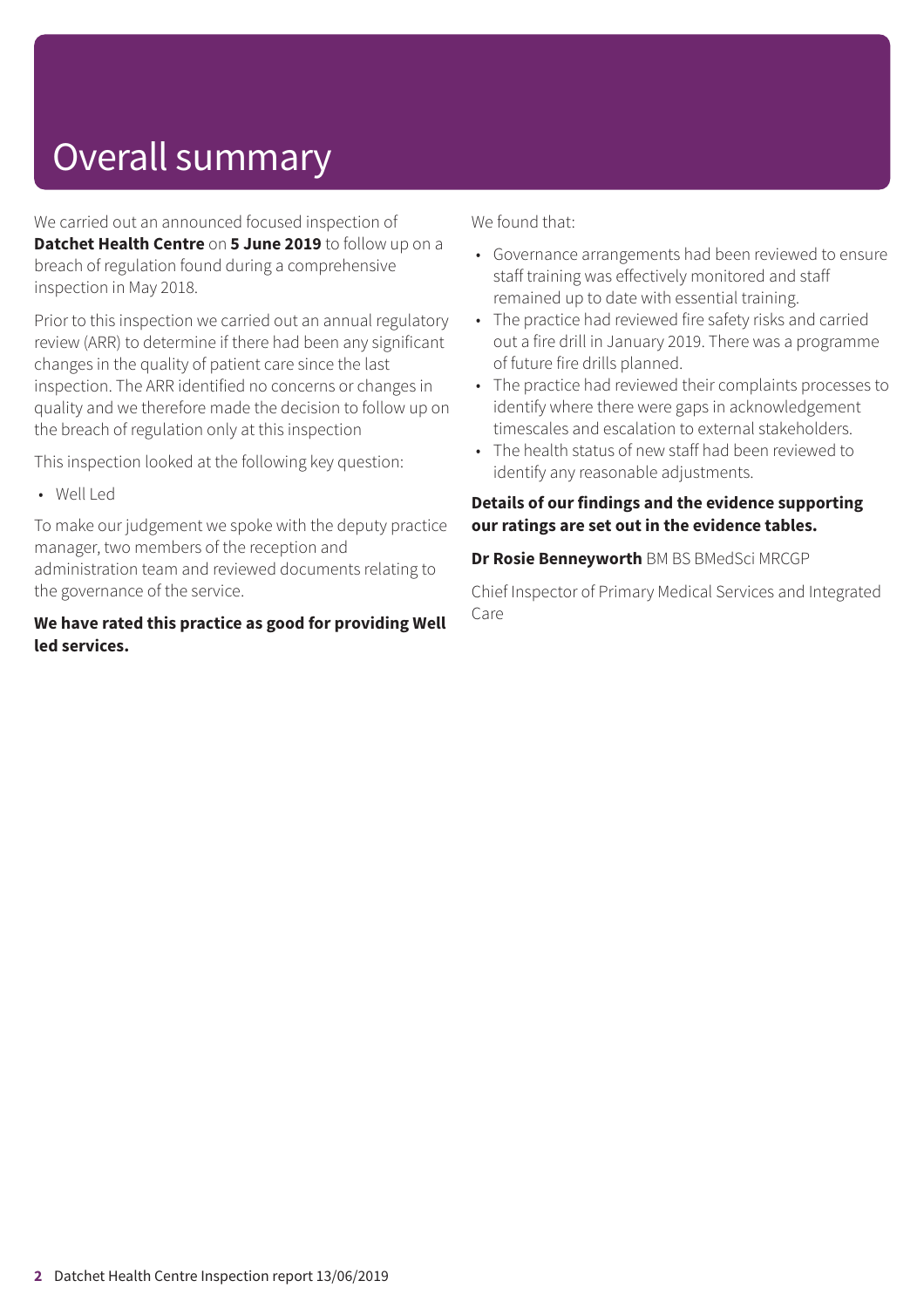# Overall summary

We carried out an announced focused inspection of **Datchet Health Centre** on **5 June 2019** to follow up on a breach of regulation found during a comprehensive inspection in May 2018.

Prior to this inspection we carried out an annual regulatory review (ARR) to determine if there had been any significant changes in the quality of patient care since the last inspection. The ARR identified no concerns or changes in quality and we therefore made the decision to follow up on the breach of regulation only at this inspection

This inspection looked at the following key question:

• Well Led

To make our judgement we spoke with the deputy practice manager, two members of the reception and administration team and reviewed documents relating to the governance of the service.

#### **We have rated this practice as good for providing Well led services.**

We found that:

- Governance arrangements had been reviewed to ensure staff training was effectively monitored and staff remained up to date with essential training.
- The practice had reviewed fire safety risks and carried out a fire drill in January 2019. There was a programme of future fire drills planned.
- The practice had reviewed their complaints processes to identify where there were gaps in acknowledgement timescales and escalation to external stakeholders.
- The health status of new staff had been reviewed to identify any reasonable adjustments.

#### **Details of our findings and the evidence supporting our ratings are set out in the evidence tables.**

#### **Dr Rosie Benneyworth** BM BS BMedSci MRCGP

Chief Inspector of Primary Medical Services and Integrated Care